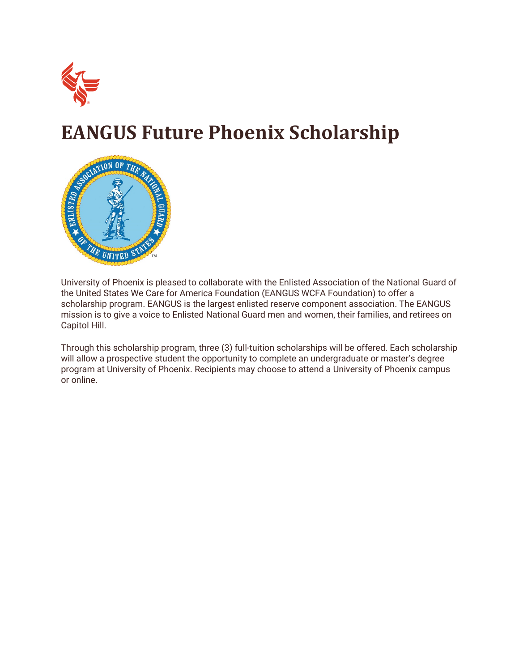

# **EANGUS Future Phoenix Scholarship**



University of Phoenix is pleased to collaborate with the Enlisted Association of the National Guard of the United States We Care for America Foundation (EANGUS WCFA Foundation) to offer a scholarship program. EANGUS is the largest enlisted reserve component association. The EANGUS mission is to give a voice to Enlisted National Guard men and women, their families, and retirees on Capitol Hill.

Through this scholarship program, three (3) full-tuition scholarships will be offered. Each scholarship will allow a prospective student the opportunity to complete an undergraduate or master's degree program at University of Phoenix. Recipients may choose to attend a University of Phoenix campus or online.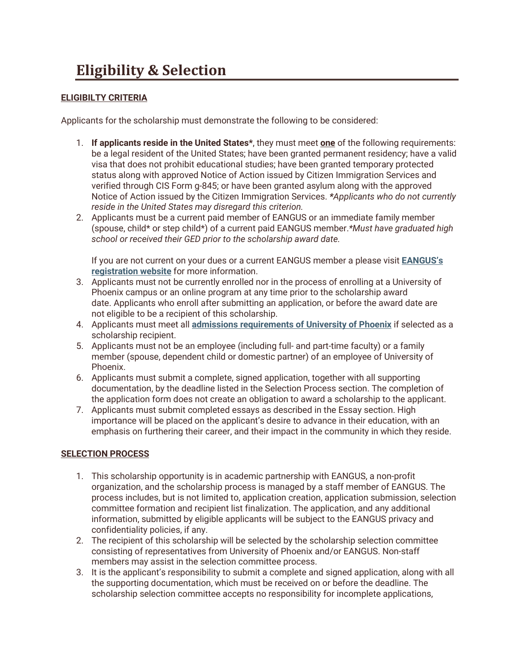# **Eligibility & Selection**

### **ELIGIBILTY CRITERIA**

Applicants for the scholarship must demonstrate the following to be considered:

- 1. **If applicants reside in the United States\***, they must meet **one** of the following requirements: be a legal resident of the United States; have been granted permanent residency; have a valid visa that does not prohibit educational studies; have been granted temporary protected status along with approved Notice of Action issued by Citizen Immigration Services and verified through CIS Form g-845; or have been granted asylum along with the approved Notice of Action issued by the Citizen Immigration Services. *\*Applicants who do not currently reside in the United States may disregard this criterion.*
- 2. Applicants must be a current paid member of EANGUS or an immediate family member (spouse, child\* or step child\*) of a current paid EANGUS member.*\*Must have graduated high school or received their GED prior to the scholarship award date.*

If you are not current on your dues or a current EANGUS member a please visit **[EANGUS's](https://eangus.org/state-membership)  [registration website](https://eangus.org/state-membership)** for more information.

- 3. Applicants must not be currently enrolled nor in the process of enrolling at a University of Phoenix campus or an online program at any time prior to the scholarship award date. Applicants who enroll after submitting an application, or before the award date are not eligible to be a recipient of this scholarship.
- 4. Applicants must meet all **[admissions requirements of University of Phoenix](https://www.phoenix.edu/admissions/admission_requirements.html)** if selected as a scholarship recipient.
- 5. Applicants must not be an employee (including full- and part-time faculty) or a family member (spouse, dependent child or domestic partner) of an employee of University of Phoenix.
- 6. Applicants must submit a complete, signed application, together with all supporting documentation, by the deadline listed in the Selection Process section. The completion of the application form does not create an obligation to award a scholarship to the applicant.
- 7. Applicants must submit completed essays as described in the Essay section. High importance will be placed on the applicant's desire to advance in their education, with an emphasis on furthering their career, and their impact in the community in which they reside.

### **SELECTION PROCESS**

- 1. This scholarship opportunity is in academic partnership with EANGUS, a non-profit organization, and the scholarship process is managed by a staff member of EANGUS. The process includes, but is not limited to, application creation, application submission, selection committee formation and recipient list finalization. The application, and any additional information, submitted by eligible applicants will be subject to the EANGUS privacy and confidentiality policies, if any.
- 2. The recipient of this scholarship will be selected by the scholarship selection committee consisting of representatives from University of Phoenix and/or EANGUS. Non-staff members may assist in the selection committee process.
- 3. It is the applicant's responsibility to submit a complete and signed application, along with all the supporting documentation, which must be received on or before the deadline. The scholarship selection committee accepts no responsibility for incomplete applications,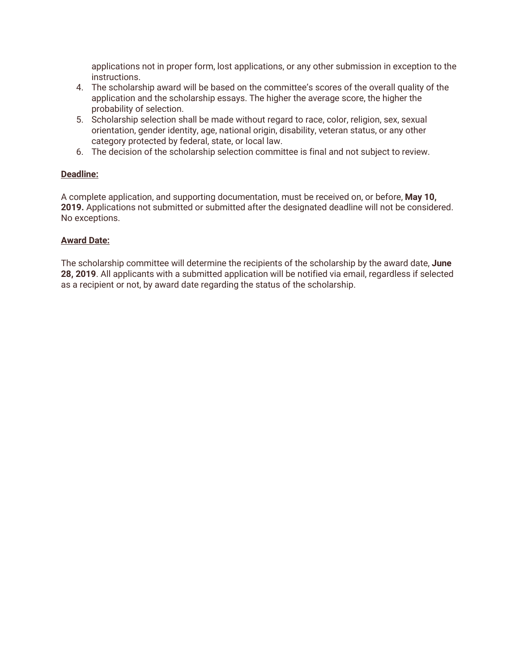applications not in proper form, lost applications, or any other submission in exception to the instructions.

- 4. The scholarship award will be based on the committee's scores of the overall quality of the application and the scholarship essays. The higher the average score, the higher the probability of selection.
- 5. Scholarship selection shall be made without regard to race, color, religion, sex, sexual orientation, gender identity, age, national origin, disability, veteran status, or any other category protected by federal, state, or local law.
- 6. The decision of the scholarship selection committee is final and not subject to review.

#### **Deadline:**

A complete application, and supporting documentation, must be received on, or before, **May 10, 2019.** Applications not submitted or submitted after the designated deadline will not be considered. No exceptions.

#### **Award Date:**

The scholarship committee will determine the recipients of the scholarship by the award date, **June 28, 2019**. All applicants with a submitted application will be notified via email, regardless if selected as a recipient or not, by award date regarding the status of the scholarship.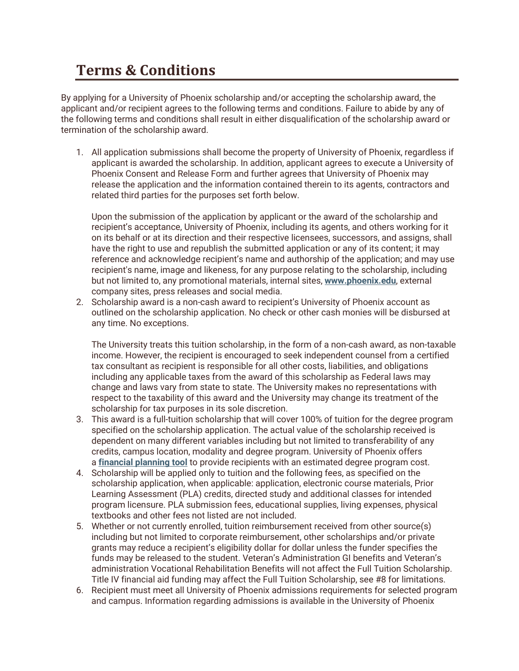### **Terms & Conditions**

By applying for a University of Phoenix scholarship and/or accepting the scholarship award, the applicant and/or recipient agrees to the following terms and conditions. Failure to abide by any of the following terms and conditions shall result in either disqualification of the scholarship award or termination of the scholarship award.

1. All application submissions shall become the property of University of Phoenix, regardless if applicant is awarded the scholarship. In addition, applicant agrees to execute a University of Phoenix Consent and Release Form and further agrees that University of Phoenix may release the application and the information contained therein to its agents, contractors and related third parties for the purposes set forth below.

Upon the submission of the application by applicant or the award of the scholarship and recipient's acceptance, University of Phoenix, including its agents, and others working for it on its behalf or at its direction and their respective licensees, successors, and assigns, shall have the right to use and republish the submitted application or any of its content; it may reference and acknowledge recipient's name and authorship of the application; and may use recipient's name, image and likeness, for any purpose relating to the scholarship, including but not limited to, any promotional materials, internal sites, **[www.phoenix.edu](https://www.phoenix.edu/)**, external company sites, press releases and social media.

2. Scholarship award is a non-cash award to recipient's University of Phoenix account as outlined on the scholarship application. No check or other cash monies will be disbursed at any time. No exceptions.

The University treats this tuition scholarship, in the form of a non-cash award, as non-taxable income. However, the recipient is encouraged to seek independent counsel from a certified tax consultant as recipient is responsible for all other costs, liabilities, and obligations including any applicable taxes from the award of this scholarship as Federal laws may change and laws vary from state to state. The University makes no representations with respect to the taxability of this award and the University may change its treatment of the scholarship for tax purposes in its sole discretion.

- 3. This award is a full-tuition scholarship that will cover 100% of tuition for the degree program specified on the scholarship application. The actual value of the scholarship received is dependent on many different variables including but not limited to transferability of any credits, campus location, modality and degree program. University of Phoenix offers a **[financial planning tool](https://www.phoenix.edu/tuition_and_financial_options/net-price-calculator.html)** to provide recipients with an estimated degree program cost.
- 4. Scholarship will be applied only to tuition and the following fees, as specified on the scholarship application, when applicable: application, electronic course materials, Prior Learning Assessment (PLA) credits, directed study and additional classes for intended program licensure. PLA submission fees, educational supplies, living expenses, physical textbooks and other fees not listed are not included.
- 5. Whether or not currently enrolled, tuition reimbursement received from other source(s) including but not limited to corporate reimbursement, other scholarships and/or private grants may reduce a recipient's eligibility dollar for dollar unless the funder specifies the funds may be released to the student. Veteran's Administration GI benefits and Veteran's administration Vocational Rehabilitation Benefits will not affect the Full Tuition Scholarship. Title IV financial aid funding may affect the Full Tuition Scholarship, see #8 for limitations.
- 6. Recipient must meet all University of Phoenix admissions requirements for selected program and campus. Information regarding admissions is available in the University of Phoenix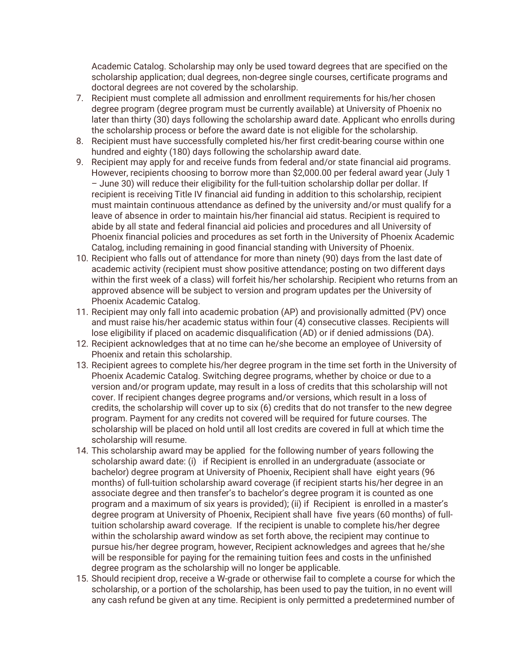Academic Catalog. Scholarship may only be used toward degrees that are specified on the scholarship application; dual degrees, non-degree single courses, certificate programs and doctoral degrees are not covered by the scholarship.

- 7. Recipient must complete all admission and enrollment requirements for his/her chosen degree program (degree program must be currently available) at University of Phoenix no later than thirty (30) days following the scholarship award date. Applicant who enrolls during the scholarship process or before the award date is not eligible for the scholarship.
- 8. Recipient must have successfully completed his/her first credit-bearing course within one hundred and eighty (180) days following the scholarship award date.
- 9. Recipient may apply for and receive funds from federal and/or state financial aid programs. However, recipients choosing to borrow more than \$2,000.00 per federal award year (July 1 – June 30) will reduce their eligibility for the full-tuition scholarship dollar per dollar. If recipient is receiving Title IV financial aid funding in addition to this scholarship, recipient must maintain continuous attendance as defined by the university and/or must qualify for a leave of absence in order to maintain his/her financial aid status. Recipient is required to abide by all state and federal financial aid policies and procedures and all University of Phoenix financial policies and procedures as set forth in the University of Phoenix Academic Catalog, including remaining in good financial standing with University of Phoenix.
- 10. Recipient who falls out of attendance for more than ninety (90) days from the last date of academic activity (recipient must show positive attendance; posting on two different days within the first week of a class) will forfeit his/her scholarship. Recipient who returns from an approved absence will be subject to version and program updates per the University of Phoenix Academic Catalog.
- 11. Recipient may only fall into academic probation (AP) and provisionally admitted (PV) once and must raise his/her academic status within four (4) consecutive classes. Recipients will lose eligibility if placed on academic disqualification (AD) or if denied admissions (DA).
- 12. Recipient acknowledges that at no time can he/she become an employee of University of Phoenix and retain this scholarship.
- 13. Recipient agrees to complete his/her degree program in the time set forth in the University of Phoenix Academic Catalog. Switching degree programs, whether by choice or due to a version and/or program update, may result in a loss of credits that this scholarship will not cover. If recipient changes degree programs and/or versions, which result in a loss of credits, the scholarship will cover up to six (6) credits that do not transfer to the new degree program. Payment for any credits not covered will be required for future courses. The scholarship will be placed on hold until all lost credits are covered in full at which time the scholarship will resume.
- 14. This scholarship award may be applied for the following number of years following the scholarship award date: (i) if Recipient is enrolled in an undergraduate (associate or bachelor) degree program at University of Phoenix, Recipient shall have eight years (96 months) of full-tuition scholarship award coverage (if recipient starts his/her degree in an associate degree and then transfer's to bachelor's degree program it is counted as one program and a maximum of six years is provided); (ii) if Recipient is enrolled in a master's degree program at University of Phoenix, Recipient shall have five years (60 months) of fulltuition scholarship award coverage. If the recipient is unable to complete his/her degree within the scholarship award window as set forth above, the recipient may continue to pursue his/her degree program, however, Recipient acknowledges and agrees that he/she will be responsible for paying for the remaining tuition fees and costs in the unfinished degree program as the scholarship will no longer be applicable.
- 15. Should recipient drop, receive a W-grade or otherwise fail to complete a course for which the scholarship, or a portion of the scholarship, has been used to pay the tuition, in no event will any cash refund be given at any time. Recipient is only permitted a predetermined number of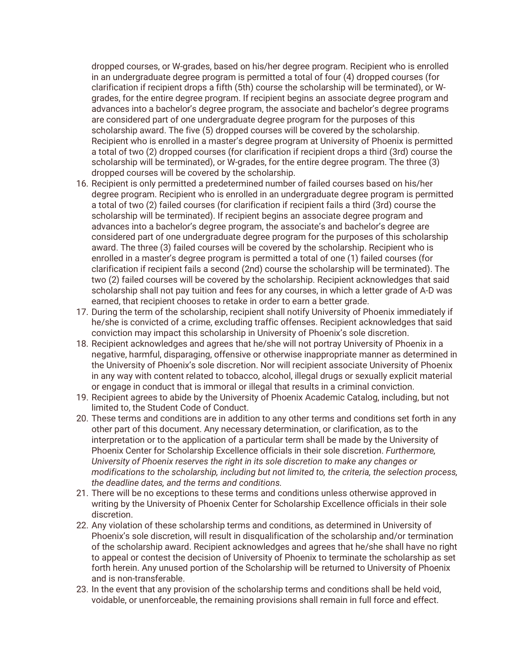dropped courses, or W-grades, based on his/her degree program. Recipient who is enrolled in an undergraduate degree program is permitted a total of four (4) dropped courses (for clarification if recipient drops a fifth (5th) course the scholarship will be terminated), or Wgrades, for the entire degree program. If recipient begins an associate degree program and advances into a bachelor's degree program, the associate and bachelor's degree programs are considered part of one undergraduate degree program for the purposes of this scholarship award. The five (5) dropped courses will be covered by the scholarship. Recipient who is enrolled in a master's degree program at University of Phoenix is permitted a total of two (2) dropped courses (for clarification if recipient drops a third (3rd) course the scholarship will be terminated), or W-grades, for the entire degree program. The three (3) dropped courses will be covered by the scholarship.

- 16. Recipient is only permitted a predetermined number of failed courses based on his/her degree program. Recipient who is enrolled in an undergraduate degree program is permitted a total of two (2) failed courses (for clarification if recipient fails a third (3rd) course the scholarship will be terminated). If recipient begins an associate degree program and advances into a bachelor's degree program, the associate's and bachelor's degree are considered part of one undergraduate degree program for the purposes of this scholarship award. The three (3) failed courses will be covered by the scholarship. Recipient who is enrolled in a master's degree program is permitted a total of one (1) failed courses (for clarification if recipient fails a second (2nd) course the scholarship will be terminated). The two (2) failed courses will be covered by the scholarship. Recipient acknowledges that said scholarship shall not pay tuition and fees for any courses, in which a letter grade of A-D was earned, that recipient chooses to retake in order to earn a better grade.
- 17. During the term of the scholarship, recipient shall notify University of Phoenix immediately if he/she is convicted of a crime, excluding traffic offenses. Recipient acknowledges that said conviction may impact this scholarship in University of Phoenix's sole discretion.
- 18. Recipient acknowledges and agrees that he/she will not portray University of Phoenix in a negative, harmful, disparaging, offensive or otherwise inappropriate manner as determined in the University of Phoenix's sole discretion. Nor will recipient associate University of Phoenix in any way with content related to tobacco, alcohol, illegal drugs or sexually explicit material or engage in conduct that is immoral or illegal that results in a criminal conviction.
- 19. Recipient agrees to abide by the University of Phoenix Academic Catalog, including, but not limited to, the Student Code of Conduct.
- 20. These terms and conditions are in addition to any other terms and conditions set forth in any other part of this document. Any necessary determination, or clarification, as to the interpretation or to the application of a particular term shall be made by the University of Phoenix Center for Scholarship Excellence officials in their sole discretion. *Furthermore, University of Phoenix reserves the right in its sole discretion to make any changes or modifications to the scholarship, including but not limited to, the criteria, the selection process, the deadline dates, and the terms and conditions.*
- 21. There will be no exceptions to these terms and conditions unless otherwise approved in writing by the University of Phoenix Center for Scholarship Excellence officials in their sole discretion.
- 22. Any violation of these scholarship terms and conditions, as determined in University of Phoenix's sole discretion, will result in disqualification of the scholarship and/or termination of the scholarship award. Recipient acknowledges and agrees that he/she shall have no right to appeal or contest the decision of University of Phoenix to terminate the scholarship as set forth herein. Any unused portion of the Scholarship will be returned to University of Phoenix and is non-transferable.
- 23. In the event that any provision of the scholarship terms and conditions shall be held void, voidable, or unenforceable, the remaining provisions shall remain in full force and effect.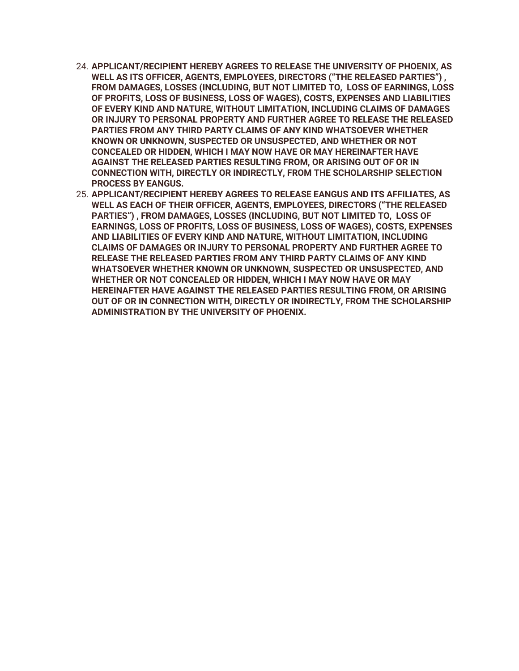- 24. **APPLICANT/RECIPIENT HEREBY AGREES TO RELEASE THE UNIVERSITY OF PHOENIX, AS WELL AS ITS OFFICER, AGENTS, EMPLOYEES, DIRECTORS ("THE RELEASED PARTIES") , FROM DAMAGES, LOSSES (INCLUDING, BUT NOT LIMITED TO, LOSS OF EARNINGS, LOSS OF PROFITS, LOSS OF BUSINESS, LOSS OF WAGES), COSTS, EXPENSES AND LIABILITIES OF EVERY KIND AND NATURE, WITHOUT LIMITATION, INCLUDING CLAIMS OF DAMAGES OR INJURY TO PERSONAL PROPERTY AND FURTHER AGREE TO RELEASE THE RELEASED PARTIES FROM ANY THIRD PARTY CLAIMS OF ANY KIND WHATSOEVER WHETHER KNOWN OR UNKNOWN, SUSPECTED OR UNSUSPECTED, AND WHETHER OR NOT CONCEALED OR HIDDEN, WHICH I MAY NOW HAVE OR MAY HEREINAFTER HAVE AGAINST THE RELEASED PARTIES RESULTING FROM, OR ARISING OUT OF OR IN CONNECTION WITH, DIRECTLY OR INDIRECTLY, FROM THE SCHOLARSHIP SELECTION PROCESS BY EANGUS.**
- 25. **APPLICANT/RECIPIENT HEREBY AGREES TO RELEASE EANGUS AND ITS AFFILIATES, AS WELL AS EACH OF THEIR OFFICER, AGENTS, EMPLOYEES, DIRECTORS ("THE RELEASED PARTIES") , FROM DAMAGES, LOSSES (INCLUDING, BUT NOT LIMITED TO, LOSS OF EARNINGS, LOSS OF PROFITS, LOSS OF BUSINESS, LOSS OF WAGES), COSTS, EXPENSES AND LIABILITIES OF EVERY KIND AND NATURE, WITHOUT LIMITATION, INCLUDING CLAIMS OF DAMAGES OR INJURY TO PERSONAL PROPERTY AND FURTHER AGREE TO RELEASE THE RELEASED PARTIES FROM ANY THIRD PARTY CLAIMS OF ANY KIND WHATSOEVER WHETHER KNOWN OR UNKNOWN, SUSPECTED OR UNSUSPECTED, AND WHETHER OR NOT CONCEALED OR HIDDEN, WHICH I MAY NOW HAVE OR MAY HEREINAFTER HAVE AGAINST THE RELEASED PARTIES RESULTING FROM, OR ARISING OUT OF OR IN CONNECTION WITH, DIRECTLY OR INDIRECTLY, FROM THE SCHOLARSHIP ADMINISTRATION BY THE UNIVERSITY OF PHOENIX.**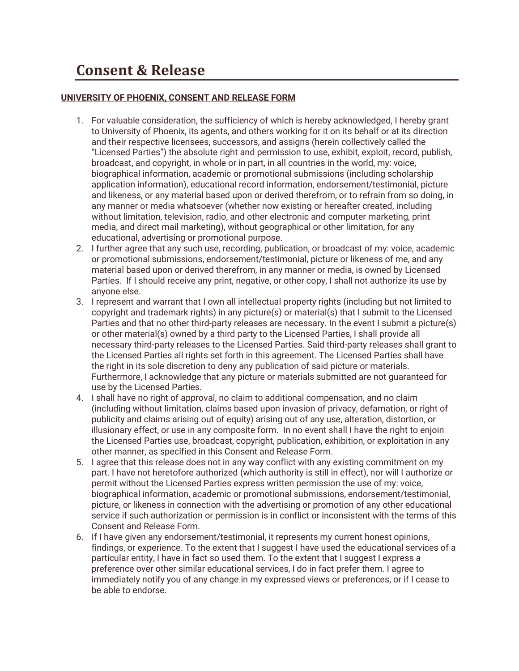### **UNIVERSITY OF PHOENIX, CONSENT AND RELEASE FORM**

- 1. For valuable consideration, the sufficiency of which is hereby acknowledged, I hereby grant to University of Phoenix, its agents, and others working for it on its behalf or at its direction and their respective licensees, successors, and assigns (herein collectively called the "Licensed Parties") the absolute right and permission to use, exhibit, exploit, record, publish, broadcast, and copyright, in whole or in part, in all countries in the world, my: voice, biographical information, academic or promotional submissions (including scholarship application information), educational record information, endorsement/testimonial, picture and likeness, or any material based upon or derived therefrom, or to refrain from so doing, in any manner or media whatsoever (whether now existing or hereafter created, including without limitation, television, radio, and other electronic and computer marketing, print media, and direct mail marketing), without geographical or other limitation, for any educational, advertising or promotional purpose.
- 2. I further agree that any such use, recording, publication, or broadcast of my: voice, academic or promotional submissions, endorsement/testimonial, picture or likeness of me, and any material based upon or derived therefrom, in any manner or media, is owned by Licensed Parties. If I should receive any print, negative, or other copy, I shall not authorize its use by anyone else.
- 3. I represent and warrant that I own all intellectual property rights (including but not limited to copyright and trademark rights) in any picture(s) or material(s) that I submit to the Licensed Parties and that no other third-party releases are necessary. In the event I submit a picture(s) or other material(s) owned by a third party to the Licensed Parties, I shall provide all necessary third-party releases to the Licensed Parties. Said third-party releases shall grant to the Licensed Parties all rights set forth in this agreement. The Licensed Parties shall have the right in its sole discretion to deny any publication of said picture or materials. Furthermore, I acknowledge that any picture or materials submitted are not guaranteed for use by the Licensed Parties.
- 4. I shall have no right of approval, no claim to additional compensation, and no claim (including without limitation, claims based upon invasion of privacy, defamation, or right of publicity and claims arising out of equity) arising out of any use, alteration, distortion, or illusionary effect, or use in any composite form. In no event shall I have the right to enjoin the Licensed Parties use, broadcast, copyright, publication, exhibition, or exploitation in any other manner, as specified in this Consent and Release Form.
- 5. I agree that this release does not in any way conflict with any existing commitment on my part. I have not heretofore authorized (which authority is still in effect), nor will I authorize or permit without the Licensed Parties express written permission the use of my: voice, biographical information, academic or promotional submissions, endorsement/testimonial, picture, or likeness in connection with the advertising or promotion of any other educational service if such authorization or permission is in conflict or inconsistent with the terms of this Consent and Release Form.
- 6. If I have given any endorsement/testimonial, it represents my current honest opinions, findings, or experience. To the extent that I suggest I have used the educational services of a particular entity, I have in fact so used them. To the extent that I suggest I express a preference over other similar educational services, I do in fact prefer them. I agree to immediately notify you of any change in my expressed views or preferences, or if I cease to be able to endorse.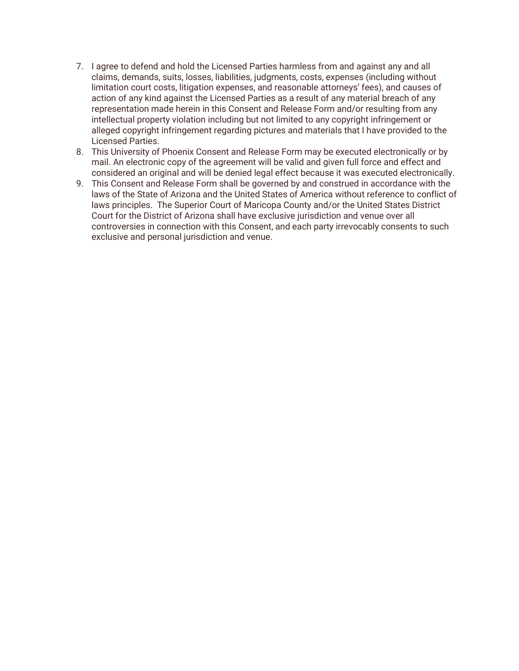- 7. I agree to defend and hold the Licensed Parties harmless from and against any and all claims, demands, suits, losses, liabilities, judgments, costs, expenses (including without limitation court costs, litigation expenses, and reasonable attorneys' fees), and causes of action of any kind against the Licensed Parties as a result of any material breach of any representation made herein in this Consent and Release Form and/or resulting from any intellectual property violation including but not limited to any copyright infringement or alleged copyright infringement regarding pictures and materials that I have provided to the Licensed Parties.
- 8. This University of Phoenix Consent and Release Form may be executed electronically or by mail. An electronic copy of the agreement will be valid and given full force and effect and considered an original and will be denied legal effect because it was executed electronically.
- 9. This Consent and Release Form shall be governed by and construed in accordance with the laws of the State of Arizona and the United States of America without reference to conflict of laws principles. The Superior Court of Maricopa County and/or the United States District Court for the District of Arizona shall have exclusive jurisdiction and venue over all controversies in connection with this Consent, and each party irrevocably consents to such exclusive and personal jurisdiction and venue.